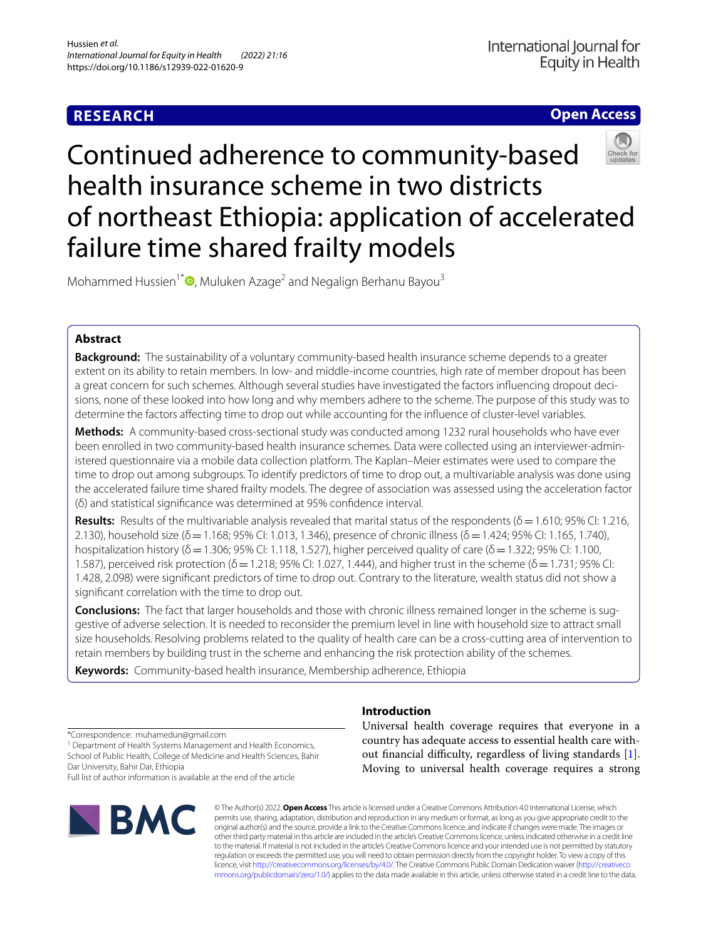# **RESEARCH**

**Open Access**

# Continued adherence to community-based health insurance scheme in two districts of northeast Ethiopia: application of accelerated failure time shared frailty models

Mohammed Hussien<sup>1[\\*](http://orcid.org/0000-0002-5747-8967)</sup> $\bullet$ , Muluken Azage<sup>2</sup> and Negalign Berhanu Bayou<sup>3</sup>

# **Abstract**

**Background:** The sustainability of a voluntary community-based health insurance scheme depends to a greater extent on its ability to retain members. In low- and middle-income countries, high rate of member dropout has been a great concern for such schemes. Although several studies have investigated the factors infuencing dropout decisions, none of these looked into how long and why members adhere to the scheme. The purpose of this study was to determine the factors afecting time to drop out while accounting for the infuence of cluster-level variables.

**Methods:** A community-based cross-sectional study was conducted among 1232 rural households who have ever been enrolled in two community-based health insurance schemes. Data were collected using an interviewer-administered questionnaire via a mobile data collection platform. The Kaplan–Meier estimates were used to compare the time to drop out among subgroups. To identify predictors of time to drop out, a multivariable analysis was done using the accelerated failure time shared frailty models. The degree of association was assessed using the acceleration factor (δ) and statistical signifcance was determined at 95% confdence interval.

**Results:** Results of the multivariable analysis revealed that marital status of the respondents (δ=1.610; 95% CI: 1.216, 2.130), household size ( $\delta$  = 1.168; 95% CI: 1.013, 1.346), presence of chronic illness ( $\delta$  = 1.424; 95% CI: 1.165, 1.740), hospitalization history ( $\delta$  = 1.306; 95% CI: 1.118, 1.527), higher perceived quality of care ( $\delta$  = 1.322; 95% CI: 1.100, 1.587), perceived risk protection ( $\delta$  = 1.218; 95% CI: 1.027, 1.444), and higher trust in the scheme ( $\delta$  = 1.731; 95% CI: 1.428, 2.098) were signifcant predictors of time to drop out. Contrary to the literature, wealth status did not show a signifcant correlation with the time to drop out.

**Conclusions:** The fact that larger households and those with chronic illness remained longer in the scheme is suggestive of adverse selection. It is needed to reconsider the premium level in line with household size to attract small size households. Resolving problems related to the quality of health care can be a cross-cutting area of intervention to retain members by building trust in the scheme and enhancing the risk protection ability of the schemes.

**Keywords:** Community-based health insurance, Membership adherence, Ethiopia

\*Correspondence: muhamedun@gmail.com

<sup>1</sup> Department of Health Systems Management and Health Economics, School of Public Health, College of Medicine and Health Sciences, Bahir Dar University, Bahir Dar, Ethiopia

Full list of author information is available at the end of the article



# **Introduction**

Universal health coverage requires that everyone in a country has adequate access to essential health care without financial difficulty, regardless of living standards  $[1]$  $[1]$ . Moving to universal health coverage requires a strong

© The Author(s) 2022. **Open Access** This article is licensed under a Creative Commons Attribution 4.0 International License, which permits use, sharing, adaptation, distribution and reproduction in any medium or format, as long as you give appropriate credit to the original author(s) and the source, provide a link to the Creative Commons licence, and indicate if changes were made. The images or other third party material in this article are included in the article's Creative Commons licence, unless indicated otherwise in a credit line to the material. If material is not included in the article's Creative Commons licence and your intended use is not permitted by statutory regulation or exceeds the permitted use, you will need to obtain permission directly from the copyright holder. To view a copy of this licence, visit [http://creativecommons.org/licenses/by/4.0/.](http://creativecommons.org/licenses/by/4.0/) The Creative Commons Public Domain Dedication waiver ([http://creativeco](http://creativecommons.org/publicdomain/zero/1.0/) [mmons.org/publicdomain/zero/1.0/](http://creativecommons.org/publicdomain/zero/1.0/)) applies to the data made available in this article, unless otherwise stated in a credit line to the data.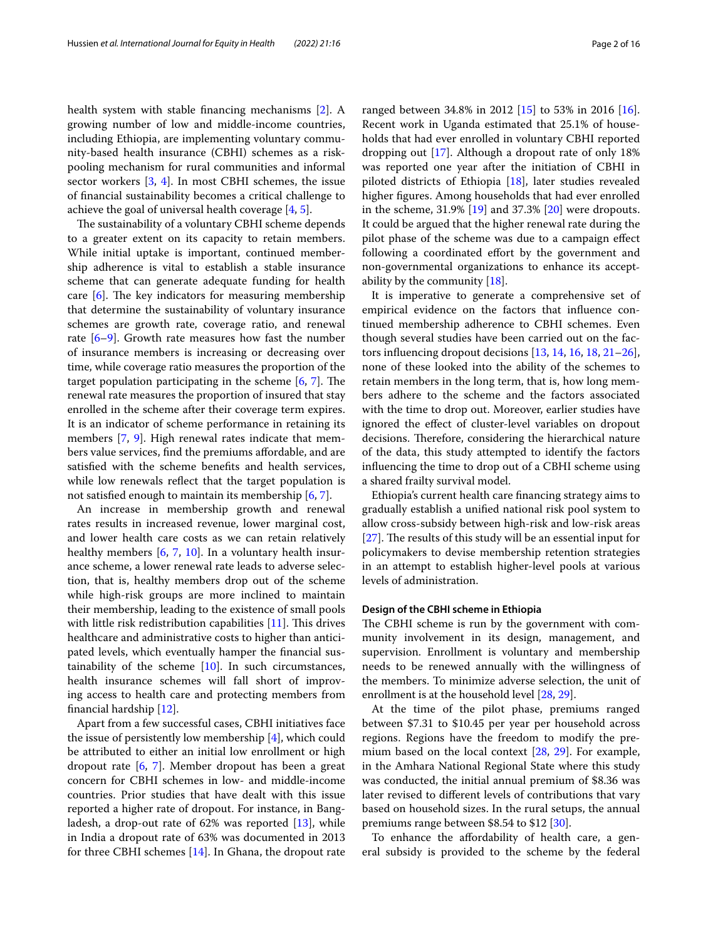health system with stable fnancing mechanisms [\[2](#page-13-1)]. A growing number of low and middle-income countries, including Ethiopia, are implementing voluntary community-based health insurance (CBHI) schemes as a riskpooling mechanism for rural communities and informal sector workers [[3,](#page-13-2) [4](#page-13-3)]. In most CBHI schemes, the issue of fnancial sustainability becomes a critical challenge to achieve the goal of universal health coverage  $[4, 5]$  $[4, 5]$  $[4, 5]$  $[4, 5]$ .

The sustainability of a voluntary CBHI scheme depends to a greater extent on its capacity to retain members. While initial uptake is important, continued membership adherence is vital to establish a stable insurance scheme that can generate adequate funding for health care  $[6]$  $[6]$ . The key indicators for measuring membership that determine the sustainability of voluntary insurance schemes are growth rate, coverage ratio, and renewal rate  $[6-9]$  $[6-9]$ . Growth rate measures how fast the number of insurance members is increasing or decreasing over time, while coverage ratio measures the proportion of the target population participating in the scheme  $[6, 7]$  $[6, 7]$  $[6, 7]$ . The renewal rate measures the proportion of insured that stay enrolled in the scheme after their coverage term expires. It is an indicator of scheme performance in retaining its members [[7,](#page-14-1) [9\]](#page-14-0). High renewal rates indicate that members value services, fnd the premiums afordable, and are satisfed with the scheme benefts and health services, while low renewals reflect that the target population is not satisfed enough to maintain its membership [[6,](#page-13-5) [7](#page-14-1)].

An increase in membership growth and renewal rates results in increased revenue, lower marginal cost, and lower health care costs as we can retain relatively healthy members [[6,](#page-13-5) [7](#page-14-1), [10\]](#page-14-2). In a voluntary health insurance scheme, a lower renewal rate leads to adverse selection, that is, healthy members drop out of the scheme while high-risk groups are more inclined to maintain their membership, leading to the existence of small pools with little risk redistribution capabilities  $[11]$  $[11]$ . This drives healthcare and administrative costs to higher than anticipated levels, which eventually hamper the fnancial sustainability of the scheme  $[10]$ . In such circumstances, health insurance schemes will fall short of improving access to health care and protecting members from fnancial hardship [\[12](#page-14-4)].

Apart from a few successful cases, CBHI initiatives face the issue of persistently low membership [\[4](#page-13-3)], which could be attributed to either an initial low enrollment or high dropout rate [\[6](#page-13-5), [7](#page-14-1)]. Member dropout has been a great concern for CBHI schemes in low- and middle-income countries. Prior studies that have dealt with this issue reported a higher rate of dropout. For instance, in Bangladesh, a drop-out rate of 62% was reported [[13\]](#page-14-5), while in India a dropout rate of 63% was documented in 2013 for three CBHI schemes [[14\]](#page-14-6). In Ghana, the dropout rate ranged between 34.8% in 2012 [\[15](#page-14-7)] to 53% in 2016 [\[16](#page-14-8)]. Recent work in Uganda estimated that 25.1% of households that had ever enrolled in voluntary CBHI reported dropping out [[17\]](#page-14-9). Although a dropout rate of only 18% was reported one year after the initiation of CBHI in piloted districts of Ethiopia [\[18](#page-14-10)], later studies revealed higher fgures. Among households that had ever enrolled in the scheme, 31.9% [\[19\]](#page-14-11) and 37.3% [[20\]](#page-14-12) were dropouts. It could be argued that the higher renewal rate during the pilot phase of the scheme was due to a campaign efect following a coordinated effort by the government and non-governmental organizations to enhance its acceptability by the community [[18\]](#page-14-10).

It is imperative to generate a comprehensive set of empirical evidence on the factors that infuence continued membership adherence to CBHI schemes. Even though several studies have been carried out on the factors infuencing dropout decisions [\[13,](#page-14-5) [14](#page-14-6), [16,](#page-14-8) [18](#page-14-10), [21](#page-14-13)[–26](#page-14-14)], none of these looked into the ability of the schemes to retain members in the long term, that is, how long members adhere to the scheme and the factors associated with the time to drop out. Moreover, earlier studies have ignored the efect of cluster-level variables on dropout decisions. Therefore, considering the hierarchical nature of the data, this study attempted to identify the factors infuencing the time to drop out of a CBHI scheme using a shared frailty survival model.

Ethiopia's current health care fnancing strategy aims to gradually establish a unifed national risk pool system to allow cross-subsidy between high-risk and low-risk areas  $[27]$  $[27]$ . The results of this study will be an essential input for policymakers to devise membership retention strategies in an attempt to establish higher-level pools at various levels of administration.

## **Design of the CBHI scheme in Ethiopia**

The CBHI scheme is run by the government with community involvement in its design, management, and supervision. Enrollment is voluntary and membership needs to be renewed annually with the willingness of the members. To minimize adverse selection, the unit of enrollment is at the household level [\[28](#page-14-16), [29](#page-14-17)].

At the time of the pilot phase, premiums ranged between \$7.31 to \$10.45 per year per household across regions. Regions have the freedom to modify the premium based on the local context [[28](#page-14-16), [29](#page-14-17)]. For example, in the Amhara National Regional State where this study was conducted, the initial annual premium of \$8.36 was later revised to diferent levels of contributions that vary based on household sizes. In the rural setups, the annual premiums range between \$8.54 to \$12 [[30\]](#page-14-18).

To enhance the afordability of health care, a general subsidy is provided to the scheme by the federal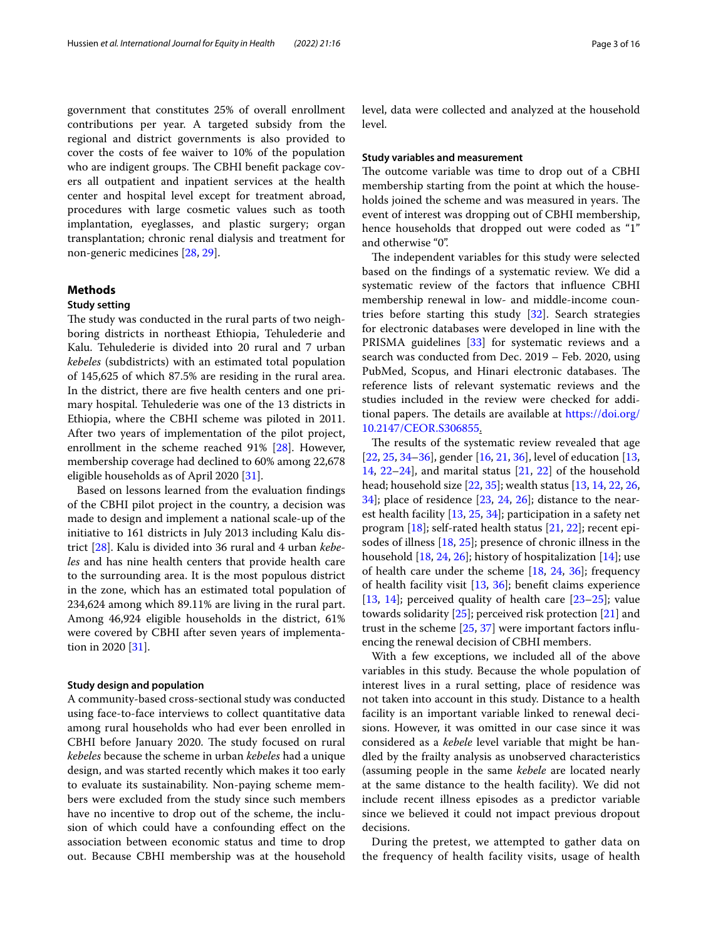government that constitutes 25% of overall enrollment contributions per year. A targeted subsidy from the regional and district governments is also provided to cover the costs of fee waiver to 10% of the population who are indigent groups. The CBHI benefit package covers all outpatient and inpatient services at the health center and hospital level except for treatment abroad, procedures with large cosmetic values such as tooth implantation, eyeglasses, and plastic surgery; organ transplantation; chronic renal dialysis and treatment for non-generic medicines [[28,](#page-14-16) [29\]](#page-14-17).

# **Methods**

# **Study setting**

The study was conducted in the rural parts of two neighboring districts in northeast Ethiopia, Tehulederie and Kalu. Tehulederie is divided into 20 rural and 7 urban *kebeles* (subdistricts) with an estimated total population of 145,625 of which 87.5% are residing in the rural area. In the district, there are fve health centers and one primary hospital. Tehulederie was one of the 13 districts in Ethiopia, where the CBHI scheme was piloted in 2011. After two years of implementation of the pilot project, enrollment in the scheme reached 91% [\[28](#page-14-16)]. However, membership coverage had declined to 60% among 22,678 eligible households as of April 2020 [\[31](#page-14-19)].

Based on lessons learned from the evaluation fndings of the CBHI pilot project in the country, a decision was made to design and implement a national scale-up of the initiative to 161 districts in July 2013 including Kalu district [\[28\]](#page-14-16). Kalu is divided into 36 rural and 4 urban *kebeles* and has nine health centers that provide health care to the surrounding area. It is the most populous district in the zone, which has an estimated total population of 234,624 among which 89.11% are living in the rural part. Among 46,924 eligible households in the district, 61% were covered by CBHI after seven years of implementation in 2020 [\[31\]](#page-14-19).

## **Study design and population**

A community-based cross-sectional study was conducted using face-to-face interviews to collect quantitative data among rural households who had ever been enrolled in CBHI before January 2020. The study focused on rural *kebeles* because the scheme in urban *kebeles* had a unique design, and was started recently which makes it too early to evaluate its sustainability. Non-paying scheme members were excluded from the study since such members have no incentive to drop out of the scheme, the inclusion of which could have a confounding efect on the association between economic status and time to drop out. Because CBHI membership was at the household level, data were collected and analyzed at the household level.

# **Study variables and measurement**

The outcome variable was time to drop out of a CBHI membership starting from the point at which the households joined the scheme and was measured in years. The event of interest was dropping out of CBHI membership, hence households that dropped out were coded as "1" and otherwise "0".

The independent variables for this study were selected based on the fndings of a systematic review. We did a systematic review of the factors that infuence CBHI membership renewal in low- and middle-income countries before starting this study  $[32]$  $[32]$  $[32]$ . Search strategies for electronic databases were developed in line with the PRISMA guidelines [[33](#page-14-21)] for systematic reviews and a search was conducted from Dec. 2019 – Feb. 2020, using PubMed, Scopus, and Hinari electronic databases. The reference lists of relevant systematic reviews and the studies included in the review were checked for additional papers. The details are available at [https://doi.org/](https://doi.org/10.2147/CEOR.S306855) [10.2147/CEOR.S306855](https://doi.org/10.2147/CEOR.S306855).

The results of the systematic review revealed that age [[22,](#page-14-22) [25](#page-14-23), [34](#page-14-24)[–36](#page-14-25)], gender [\[16](#page-14-8), [21](#page-14-13), [36\]](#page-14-25), level of education [[13](#page-14-5), [14,](#page-14-6) [22–](#page-14-22)[24\]](#page-14-26), and marital status [\[21](#page-14-13), [22\]](#page-14-22) of the household head; household size [\[22,](#page-14-22) [35](#page-14-27)]; wealth status [[13,](#page-14-5) [14,](#page-14-6) [22](#page-14-22), [26](#page-14-14), [34\]](#page-14-24); place of residence [[23](#page-14-28), [24,](#page-14-26) [26\]](#page-14-14); distance to the nearest health facility [[13,](#page-14-5) [25](#page-14-23), [34\]](#page-14-24); participation in a safety net program  $[18]$  $[18]$ ; self-rated health status  $[21, 22]$  $[21, 22]$  $[21, 22]$  $[21, 22]$ ; recent episodes of illness [[18,](#page-14-10) [25](#page-14-23)]; presence of chronic illness in the household  $[18, 24, 26]$  $[18, 24, 26]$  $[18, 24, 26]$  $[18, 24, 26]$  $[18, 24, 26]$ ; history of hospitalization  $[14]$  $[14]$ ; use of health care under the scheme [[18,](#page-14-10) [24](#page-14-26), [36\]](#page-14-25); frequency of health facility visit [\[13](#page-14-5), [36\]](#page-14-25); beneft claims experience [[13,](#page-14-5) [14\]](#page-14-6); perceived quality of health care [\[23](#page-14-28)[–25](#page-14-23)]; value towards solidarity [\[25](#page-14-23)]; perceived risk protection [\[21\]](#page-14-13) and trust in the scheme [\[25](#page-14-23), [37\]](#page-14-29) were important factors infuencing the renewal decision of CBHI members.

With a few exceptions, we included all of the above variables in this study. Because the whole population of interest lives in a rural setting, place of residence was not taken into account in this study. Distance to a health facility is an important variable linked to renewal decisions. However, it was omitted in our case since it was considered as a *kebele* level variable that might be handled by the frailty analysis as unobserved characteristics (assuming people in the same *kebele* are located nearly at the same distance to the health facility). We did not include recent illness episodes as a predictor variable since we believed it could not impact previous dropout decisions.

During the pretest, we attempted to gather data on the frequency of health facility visits, usage of health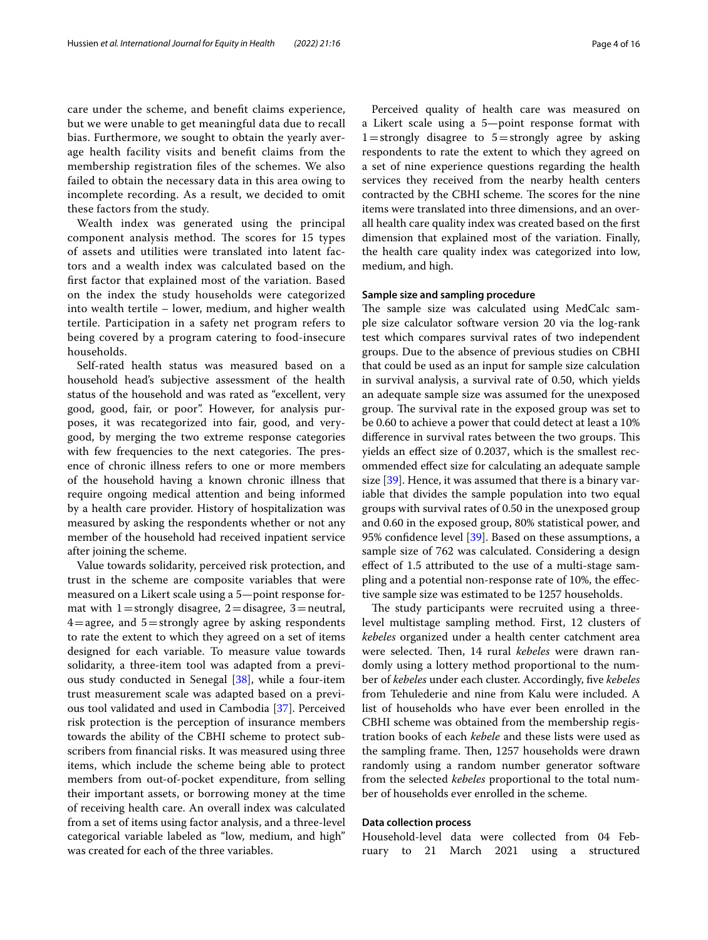care under the scheme, and beneft claims experience, but we were unable to get meaningful data due to recall bias. Furthermore, we sought to obtain the yearly average health facility visits and beneft claims from the membership registration fles of the schemes. We also failed to obtain the necessary data in this area owing to incomplete recording. As a result, we decided to omit these factors from the study.

Wealth index was generated using the principal component analysis method. The scores for 15 types of assets and utilities were translated into latent factors and a wealth index was calculated based on the frst factor that explained most of the variation. Based on the index the study households were categorized into wealth tertile – lower, medium, and higher wealth tertile. Participation in a safety net program refers to being covered by a program catering to food-insecure households.

Self-rated health status was measured based on a household head's subjective assessment of the health status of the household and was rated as "excellent, very good, good, fair, or poor". However, for analysis purposes, it was recategorized into fair, good, and verygood, by merging the two extreme response categories with few frequencies to the next categories. The presence of chronic illness refers to one or more members of the household having a known chronic illness that require ongoing medical attention and being informed by a health care provider. History of hospitalization was measured by asking the respondents whether or not any member of the household had received inpatient service after joining the scheme.

Value towards solidarity, perceived risk protection, and trust in the scheme are composite variables that were measured on a Likert scale using a 5—point response format with  $1=$  strongly disagree,  $2=$  disagree,  $3=$  neutral,  $4=$ agree, and  $5=$ strongly agree by asking respondents to rate the extent to which they agreed on a set of items designed for each variable. To measure value towards solidarity, a three-item tool was adapted from a previous study conducted in Senegal [\[38](#page-14-30)], while a four-item trust measurement scale was adapted based on a previous tool validated and used in Cambodia [[37\]](#page-14-29). Perceived risk protection is the perception of insurance members towards the ability of the CBHI scheme to protect subscribers from fnancial risks. It was measured using three items, which include the scheme being able to protect members from out-of-pocket expenditure, from selling their important assets, or borrowing money at the time of receiving health care. An overall index was calculated from a set of items using factor analysis, and a three-level categorical variable labeled as "low, medium, and high" was created for each of the three variables.

Perceived quality of health care was measured on a Likert scale using a 5—point response format with  $1=$  strongly disagree to  $5=$  strongly agree by asking respondents to rate the extent to which they agreed on a set of nine experience questions regarding the health services they received from the nearby health centers contracted by the CBHI scheme. The scores for the nine items were translated into three dimensions, and an overall health care quality index was created based on the frst dimension that explained most of the variation. Finally, the health care quality index was categorized into low, medium, and high.

# **Sample size and sampling procedure**

The sample size was calculated using MedCalc sample size calculator software version 20 via the log-rank test which compares survival rates of two independent groups. Due to the absence of previous studies on CBHI that could be used as an input for sample size calculation in survival analysis, a survival rate of 0.50, which yields an adequate sample size was assumed for the unexposed group. The survival rate in the exposed group was set to be 0.60 to achieve a power that could detect at least a 10% difference in survival rates between the two groups. This yields an efect size of 0.2037, which is the smallest recommended efect size for calculating an adequate sample size [\[39](#page-14-31)]. Hence, it was assumed that there is a binary variable that divides the sample population into two equal groups with survival rates of 0.50 in the unexposed group and 0.60 in the exposed group, 80% statistical power, and 95% confdence level [[39](#page-14-31)]. Based on these assumptions, a sample size of 762 was calculated. Considering a design efect of 1.5 attributed to the use of a multi-stage sampling and a potential non-response rate of 10%, the efective sample size was estimated to be 1257 households.

The study participants were recruited using a threelevel multistage sampling method. First, 12 clusters of *kebeles* organized under a health center catchment area were selected. Then, 14 rural *kebeles* were drawn randomly using a lottery method proportional to the number of *kebeles* under each cluster. Accordingly, fve *kebeles* from Tehulederie and nine from Kalu were included. A list of households who have ever been enrolled in the CBHI scheme was obtained from the membership registration books of each *kebele* and these lists were used as the sampling frame. Then, 1257 households were drawn randomly using a random number generator software from the selected *kebeles* proportional to the total number of households ever enrolled in the scheme.

# **Data collection process**

Household-level data were collected from 04 February to 21 March 2021 using a structured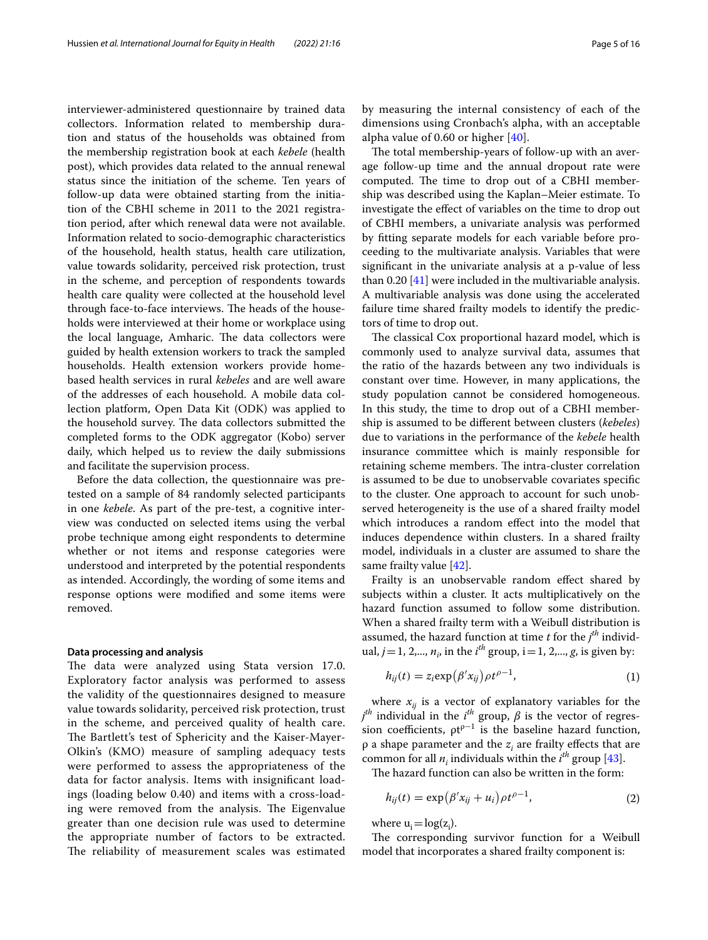interviewer-administered questionnaire by trained data collectors. Information related to membership duration and status of the households was obtained from the membership registration book at each *kebele* (health post), which provides data related to the annual renewal status since the initiation of the scheme. Ten years of follow-up data were obtained starting from the initiation of the CBHI scheme in 2011 to the 2021 registration period, after which renewal data were not available. Information related to socio-demographic characteristics of the household, health status, health care utilization, value towards solidarity, perceived risk protection, trust in the scheme, and perception of respondents towards health care quality were collected at the household level through face-to-face interviews. The heads of the households were interviewed at their home or workplace using the local language, Amharic. The data collectors were guided by health extension workers to track the sampled households. Health extension workers provide homebased health services in rural *kebeles* and are well aware of the addresses of each household. A mobile data collection platform, Open Data Kit (ODK) was applied to the household survey. The data collectors submitted the completed forms to the ODK aggregator (Kobo) server daily, which helped us to review the daily submissions and facilitate the supervision process.

Before the data collection, the questionnaire was pretested on a sample of 84 randomly selected participants in one *kebele*. As part of the pre-test, a cognitive interview was conducted on selected items using the verbal probe technique among eight respondents to determine whether or not items and response categories were understood and interpreted by the potential respondents as intended. Accordingly, the wording of some items and response options were modifed and some items were removed.

# **Data processing and analysis**

The data were analyzed using Stata version 17.0. Exploratory factor analysis was performed to assess the validity of the questionnaires designed to measure value towards solidarity, perceived risk protection, trust in the scheme, and perceived quality of health care. The Bartlett's test of Sphericity and the Kaiser-Mayer-Olkin's (KMO) measure of sampling adequacy tests were performed to assess the appropriateness of the data for factor analysis. Items with insignifcant loadings (loading below 0.40) and items with a cross-loading were removed from the analysis. The Eigenvalue greater than one decision rule was used to determine the appropriate number of factors to be extracted. The reliability of measurement scales was estimated by measuring the internal consistency of each of the dimensions using Cronbach's alpha, with an acceptable alpha value of 0.60 or higher [[40](#page-14-32)].

The total membership-years of follow-up with an average follow-up time and the annual dropout rate were computed. The time to drop out of a CBHI membership was described using the Kaplan–Meier estimate. To investigate the efect of variables on the time to drop out of CBHI members, a univariate analysis was performed by ftting separate models for each variable before proceeding to the multivariate analysis. Variables that were signifcant in the univariate analysis at a p-value of less than 0.20 [[41\]](#page-14-33) were included in the multivariable analysis. A multivariable analysis was done using the accelerated failure time shared frailty models to identify the predictors of time to drop out.

The classical Cox proportional hazard model, which is commonly used to analyze survival data, assumes that the ratio of the hazards between any two individuals is constant over time. However, in many applications, the study population cannot be considered homogeneous. In this study, the time to drop out of a CBHI membership is assumed to be diferent between clusters (*kebeles*) due to variations in the performance of the *kebele* health insurance committee which is mainly responsible for retaining scheme members. The intra-cluster correlation is assumed to be due to unobservable covariates specifc to the cluster. One approach to account for such unobserved heterogeneity is the use of a shared frailty model which introduces a random efect into the model that induces dependence within clusters. In a shared frailty model, individuals in a cluster are assumed to share the same frailty value [\[42](#page-14-34)].

Frailty is an unobservable random effect shared by subjects within a cluster. It acts multiplicatively on the hazard function assumed to follow some distribution. When a shared frailty term with a Weibull distribution is assumed, the hazard function at time  $t$  for the  $j<sup>th</sup>$  individual,  $j = 1, 2,..., n_i$ , in the  $i^{th}$  group,  $i = 1, 2,..., g$ , is given by:

$$
h_{ij}(t) = z_i \exp(\beta' x_{ij}) \rho t^{\rho - 1}, \qquad (1)
$$

where  $x_{ij}$  is a vector of explanatory variables for the  $j^{th}$  individual in the  $i^{th}$  group,  $\beta$  is the vector of regression coefficients,  $\rho t^{\rho-1}$  is the baseline hazard function,  $\rho$  a shape parameter and the  $z_i$  are frailty effects that are common for all  $n_i$  individuals within the  $i^{th}$  group [\[43\]](#page-14-35).

The hazard function can also be written in the form:

$$
h_{ij}(t) = \exp(\beta' x_{ij} + u_i) \rho t^{\rho - 1}, \qquad (2)
$$

where  $u_i = log(z_i)$ .

The corresponding survivor function for a Weibull model that incorporates a shared frailty component is: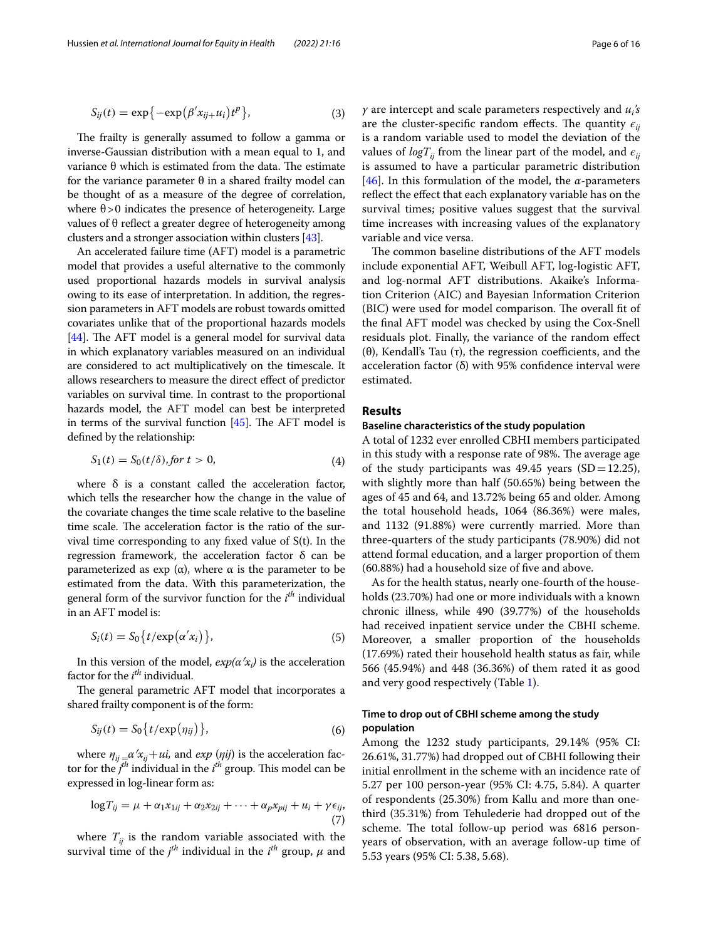$$
S_{ij}(t) = \exp\{-\exp(\beta'x_{ij}+u_i)t^p\},\tag{3}
$$

The frailty is generally assumed to follow a gamma or inverse-Gaussian distribution with a mean equal to 1, and variance θ which is estimated from the data. The estimate for the variance parameter θ in a shared frailty model can be thought of as a measure of the degree of correlation, where  $\theta$  > 0 indicates the presence of heterogeneity. Large values of  $θ$  reflect a greater degree of heterogeneity among clusters and a stronger association within clusters [\[43\]](#page-14-35).

An accelerated failure time (AFT) model is a parametric model that provides a useful alternative to the commonly used proportional hazards models in survival analysis owing to its ease of interpretation. In addition, the regression parameters in AFT models are robust towards omitted covariates unlike that of the proportional hazards models  $[44]$  $[44]$  $[44]$ . The AFT model is a general model for survival data in which explanatory variables measured on an individual are considered to act multiplicatively on the timescale. It allows researchers to measure the direct efect of predictor variables on survival time. In contrast to the proportional hazards model, the AFT model can best be interpreted in terms of the survival function  $[45]$  $[45]$  $[45]$ . The AFT model is defned by the relationship:

$$
S_1(t) = S_0(t/\delta), \text{for } t > 0,
$$
\n<sup>(4)</sup>

where  $\delta$  is a constant called the acceleration factor, which tells the researcher how the change in the value of the covariate changes the time scale relative to the baseline time scale. The acceleration factor is the ratio of the survival time corresponding to any fxed value of S(t). In the regression framework, the acceleration factor δ can be parameterized as exp (α), where  $\alpha$  is the parameter to be estimated from the data. With this parameterization, the general form of the survivor function for the *i th* individual in an AFT model is:

$$
S_i(t) = S_0\{t/\exp(\alpha' x_i)\},\tag{5}
$$

In this version of the model,  $exp(\alpha' x_i)$  is the acceleration factor for the *i th* individual.

The general parametric AFT model that incorporates a shared frailty component is of the form:

$$
S_{ij}(t) = S_0\left\{t/\exp(\eta_{ij})\right\},\tag{6}
$$

where  $\eta_{ij} = \alpha' x_{ij} + u_i$ , and  $exp(\eta_{ij})$  is the acceleration factor for the  $j<sup>th</sup>$  individual in the  $i<sup>th</sup>$  group. This model can be expressed in log-linear form as:

$$
\log T_{ij} = \mu + \alpha_1 x_{1ij} + \alpha_2 x_{2ij} + \dots + \alpha_p x_{pij} + u_i + \gamma \epsilon_{ij},
$$

$$
\tag{7}
$$

where  $T_{ij}$  is the random variable associated with the survival time of the  $j^{th}$  individual in the  $i^{th}$  group,  $\mu$  and

*γ* are intercept and scale parameters respectively and *ui 's* are the cluster-specific random effects. The quantity  $\epsilon_{ii}$ is a random variable used to model the deviation of the values of  $logT_{ii}$  from the linear part of the model, and  $\epsilon_{ii}$ is assumed to have a particular parametric distribution [[46\]](#page-14-38). In this formulation of the model, the *α*-parameters refect the efect that each explanatory variable has on the survival times; positive values suggest that the survival time increases with increasing values of the explanatory variable and vice versa.

The common baseline distributions of the AFT models include exponential AFT, Weibull AFT, log-logistic AFT, and log-normal AFT distributions. Akaike's Information Criterion (AIC) and Bayesian Information Criterion (BIC) were used for model comparison. The overall fit of the fnal AFT model was checked by using the Cox-Snell residuals plot. Finally, the variance of the random efect (θ), Kendall's Tau  $(τ)$ , the regression coefficients, and the acceleration factor (δ) with 95% confdence interval were estimated.

# **Results**

# **Baseline characteristics of the study population**

A total of 1232 ever enrolled CBHI members participated in this study with a response rate of 98%. The average age of the study participants was 49.45 years  $(SD=12.25)$ , with slightly more than half (50.65%) being between the ages of 45 and 64, and 13.72% being 65 and older. Among the total household heads, 1064 (86.36%) were males, and 1132 (91.88%) were currently married. More than three-quarters of the study participants (78.90%) did not attend formal education, and a larger proportion of them (60.88%) had a household size of fve and above.

As for the health status, nearly one-fourth of the households (23.70%) had one or more individuals with a known chronic illness, while 490 (39.77%) of the households had received inpatient service under the CBHI scheme. Moreover, a smaller proportion of the households (17.69%) rated their household health status as fair, while 566 (45.94%) and 448 (36.36%) of them rated it as good and very good respectively (Table [1](#page-6-0)).

# **Time to drop out of CBHI scheme among the study population**

Among the 1232 study participants, 29.14% (95% CI: 26.61%, 31.77%) had dropped out of CBHI following their initial enrollment in the scheme with an incidence rate of 5.27 per 100 person-year (95% CI: 4.75, 5.84). A quarter of respondents (25.30%) from Kallu and more than onethird (35.31%) from Tehulederie had dropped out of the scheme. The total follow-up period was 6816 personyears of observation, with an average follow-up time of 5.53 years (95% CI: 5.38, 5.68).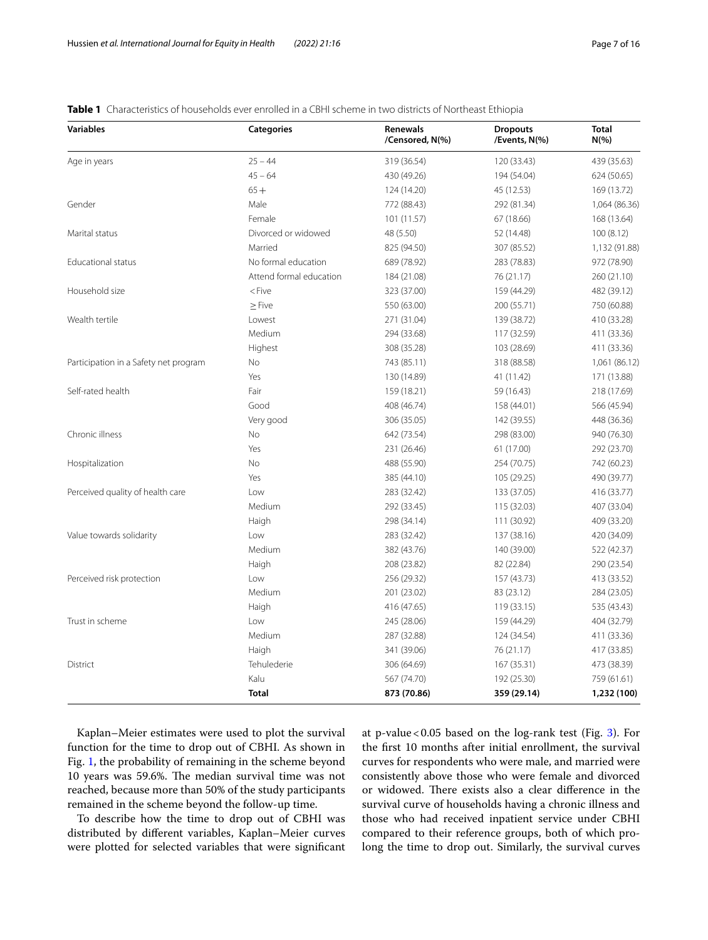<span id="page-6-0"></span>

|  |  |  |  |  |  | <b>Table 1</b> Characteristics of households ever enrolled in a CBHI scheme in two districts of Northeast Ethiopia |
|--|--|--|--|--|--|--------------------------------------------------------------------------------------------------------------------|
|--|--|--|--|--|--|--------------------------------------------------------------------------------------------------------------------|

| <b>Variables</b>                      | <b>Categories</b>       | <b>Renewals</b><br>/Censored, N(%) | <b>Dropouts</b><br>/Events, N(%) | <b>Total</b><br>$N(\% )$ |
|---------------------------------------|-------------------------|------------------------------------|----------------------------------|--------------------------|
| Age in years                          | $25 - 44$               | 319 (36.54)                        | 120 (33.43)                      | 439 (35.63)              |
|                                       | $45 - 64$               | 430 (49.26)                        | 194 (54.04)                      | 624 (50.65)              |
|                                       | $65+$                   | 124 (14.20)                        | 45 (12.53)                       | 169 (13.72)              |
| Gender                                | Male                    | 772 (88.43)                        | 292 (81.34)                      | 1,064 (86.36)            |
|                                       | Female                  | 101 (11.57)                        | 67 (18.66)                       | 168 (13.64)              |
| Marital status                        | Divorced or widowed     | 48 (5.50)                          | 52 (14.48)                       | 100(8.12)                |
|                                       | Married                 | 825 (94.50)                        | 307 (85.52)                      | 1,132 (91.88)            |
| <b>Educational status</b>             | No formal education     | 689 (78.92)                        | 283 (78.83)                      | 972 (78.90)              |
|                                       | Attend formal education | 184 (21.08)                        | 76 (21.17)                       | 260 (21.10)              |
| Household size                        | $<$ Five                | 323 (37.00)                        | 159 (44.29)                      | 482 (39.12)              |
|                                       | $\geq$ Five             | 550 (63.00)                        | 200 (55.71)                      | 750 (60.88)              |
| Wealth tertile                        | Lowest                  | 271 (31.04)                        | 139 (38.72)                      | 410 (33.28)              |
|                                       | Medium                  | 294 (33.68)                        | 117 (32.59)                      | 411 (33.36)              |
|                                       | Highest                 | 308 (35.28)                        | 103 (28.69)                      | 411 (33.36)              |
| Participation in a Safety net program | No                      | 743 (85.11)                        | 318 (88.58)                      | 1,061 (86.12)            |
|                                       | Yes                     | 130 (14.89)                        | 41 (11.42)                       | 171 (13.88)              |
| Self-rated health                     | Fair                    | 159 (18.21)                        | 59 (16.43)                       | 218 (17.69)              |
|                                       | Good                    | 408 (46.74)                        | 158 (44.01)                      | 566 (45.94)              |
|                                       | Very good               | 306 (35.05)                        | 142 (39.55)                      | 448 (36.36)              |
| Chronic illness                       | No                      | 642 (73.54)                        | 298 (83.00)                      | 940 (76.30)              |
|                                       | Yes                     | 231 (26.46)                        | 61 (17.00)                       | 292 (23.70)              |
| Hospitalization                       | <b>No</b>               | 488 (55.90)                        | 254 (70.75)                      | 742 (60.23)              |
|                                       | Yes                     | 385 (44.10)                        | 105 (29.25)                      | 490 (39.77)              |
| Perceived quality of health care      | Low                     | 283 (32.42)                        | 133 (37.05)                      | 416 (33.77)              |
|                                       | Medium                  | 292 (33.45)                        | 115 (32.03)                      | 407 (33.04)              |
|                                       | Haigh                   | 298 (34.14)                        | 111 (30.92)                      | 409 (33.20)              |
| Value towards solidarity              | Low                     | 283 (32.42)                        | 137 (38.16)                      | 420 (34.09)              |
|                                       | Medium                  | 382 (43.76)                        | 140 (39.00)                      | 522 (42.37)              |
|                                       | Haigh                   | 208 (23.82)                        | 82 (22.84)                       | 290 (23.54)              |
| Perceived risk protection             | Low                     | 256 (29.32)                        | 157 (43.73)                      | 413 (33.52)              |
|                                       | Medium                  | 201 (23.02)                        | 83 (23.12)                       | 284 (23.05)              |
|                                       | Haigh                   | 416 (47.65)                        | 119 (33.15)                      | 535 (43.43)              |
| Trust in scheme                       | Low                     | 245 (28.06)                        | 159 (44.29)                      | 404 (32.79)              |
|                                       | Medium                  | 287 (32.88)                        | 124 (34.54)                      | 411 (33.36)              |
|                                       | Haigh                   | 341 (39.06)                        | 76 (21.17)                       | 417 (33.85)              |
| <b>District</b>                       | Tehulederie             | 306 (64.69)                        | 167 (35.31)                      | 473 (38.39)              |
|                                       | Kalu                    | 567 (74.70)                        | 192 (25.30)                      | 759 (61.61)              |
|                                       | <b>Total</b>            | 873 (70.86)                        | 359 (29.14)                      | 1,232 (100)              |

Kaplan–Meier estimates were used to plot the survival function for the time to drop out of CBHI. As shown in Fig. [1,](#page-7-0) the probability of remaining in the scheme beyond 10 years was 59.6%. The median survival time was not reached, because more than 50% of the study participants remained in the scheme beyond the follow-up time.

To describe how the time to drop out of CBHI was distributed by diferent variables, Kaplan–Meier curves were plotted for selected variables that were signifcant at p-value <  $0.05$  based on the log-rank test (Fig. [3\)](#page-9-0). For the frst 10 months after initial enrollment, the survival curves for respondents who were male, and married were consistently above those who were female and divorced or widowed. There exists also a clear difference in the survival curve of households having a chronic illness and those who had received inpatient service under CBHI compared to their reference groups, both of which prolong the time to drop out. Similarly, the survival curves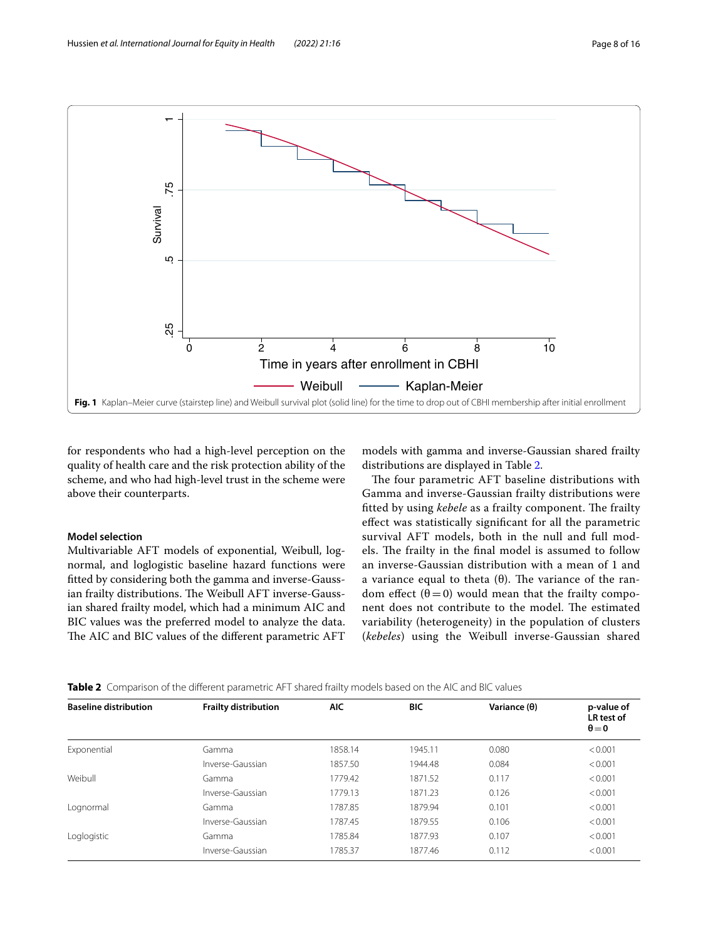

<span id="page-7-0"></span>for respondents who had a high-level perception on the quality of health care and the risk protection ability of the scheme, and who had high-level trust in the scheme were above their counterparts.

# **Model selection**

Multivariable AFT models of exponential, Weibull, lognormal, and loglogistic baseline hazard functions were ftted by considering both the gamma and inverse-Gaussian frailty distributions. The Weibull AFT inverse-Gaussian shared frailty model, which had a minimum AIC and BIC values was the preferred model to analyze the data. The AIC and BIC values of the different parametric AFT models with gamma and inverse-Gaussian shared frailty distributions are displayed in Table [2.](#page-7-1)

The four parametric AFT baseline distributions with Gamma and inverse-Gaussian frailty distributions were fitted by using *kebele* as a frailty component. The frailty efect was statistically signifcant for all the parametric survival AFT models, both in the null and full models. The frailty in the final model is assumed to follow an inverse-Gaussian distribution with a mean of 1 and a variance equal to theta  $(θ)$ . The variance of the random effect  $(\theta = 0)$  would mean that the frailty component does not contribute to the model. The estimated variability (heterogeneity) in the population of clusters (*kebeles*) using the Weibull inverse-Gaussian shared

<span id="page-7-1"></span>

| <b>Baseline distribution</b> | <b>Frailty distribution</b> | <b>AIC</b> | <b>BIC</b> | Variance $(\theta)$ | p-value of<br>LR test of<br>$\theta = 0$ |
|------------------------------|-----------------------------|------------|------------|---------------------|------------------------------------------|
| Exponential                  | Gamma                       | 1858.14    | 1945.11    | 0.080               | < 0.001                                  |
|                              | Inverse-Gaussian            | 1857.50    | 1944.48    | 0.084               | < 0.001                                  |
| Weibull                      | Gamma                       | 1779.42    | 1871.52    | 0.117               | < 0.001                                  |
|                              | Inverse-Gaussian            | 1779.13    | 1871.23    | 0.126               | < 0.001                                  |
| Lognormal                    | Gamma                       | 1787.85    | 1879.94    | 0.101               | < 0.001                                  |
|                              | Inverse-Gaussian            | 1787.45    | 1879.55    | 0.106               | < 0.001                                  |
| Loglogistic                  | Gamma                       | 1785.84    | 1877.93    | 0.107               | < 0.001                                  |
|                              | Inverse-Gaussian            | 1785.37    | 1877.46    | 0.112               | < 0.001                                  |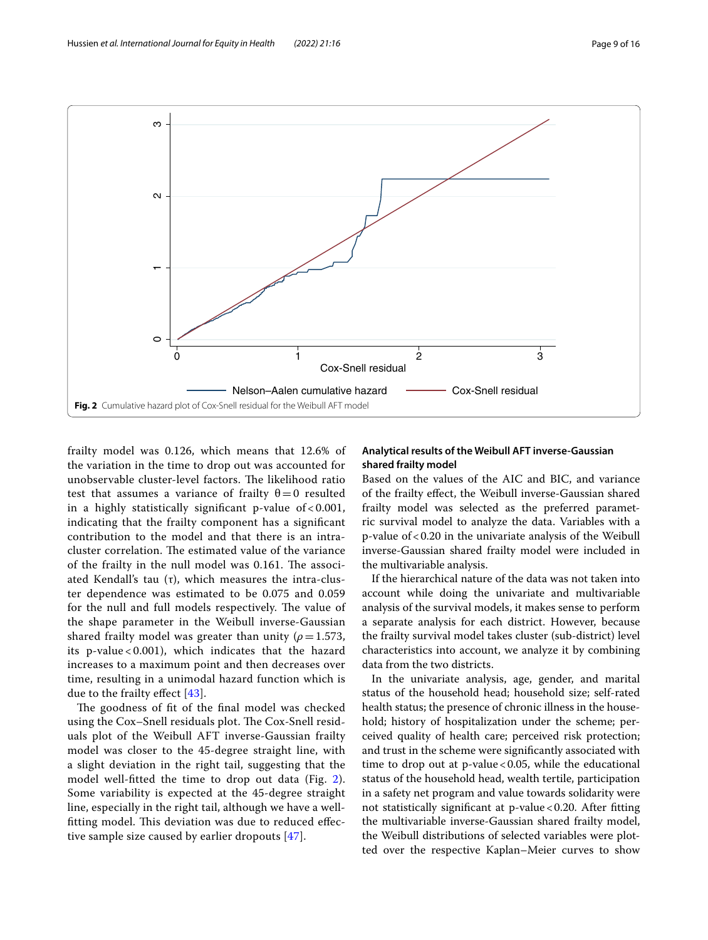

<span id="page-8-0"></span>frailty model was 0.126, which means that 12.6% of the variation in the time to drop out was accounted for unobservable cluster-level factors. The likelihood ratio test that assumes a variance of frailty  $\theta = 0$  resulted in a highly statistically significant p-value of  $< 0.001$ , indicating that the frailty component has a signifcant contribution to the model and that there is an intracluster correlation. The estimated value of the variance of the frailty in the null model was 0.161. The associated Kendall's tau  $(τ)$ , which measures the intra-cluster dependence was estimated to be 0.075 and 0.059 for the null and full models respectively. The value of the shape parameter in the Weibull inverse-Gaussian shared frailty model was greater than unity ( $\rho$  = 1.573, its p-value < 0.001), which indicates that the hazard increases to a maximum point and then decreases over time, resulting in a unimodal hazard function which is due to the frailty efect [[43](#page-14-35)].

The goodness of fit of the final model was checked using the Cox–Snell residuals plot. The Cox-Snell residuals plot of the Weibull AFT inverse-Gaussian frailty model was closer to the 45-degree straight line, with a slight deviation in the right tail, suggesting that the model well-ftted the time to drop out data (Fig. [2\)](#page-8-0). Some variability is expected at the 45-degree straight line, especially in the right tail, although we have a wellfitting model. This deviation was due to reduced effective sample size caused by earlier dropouts [[47](#page-14-39)].

# **Analytical results of the Weibull AFT inverse-Gaussian shared frailty model**

Based on the values of the AIC and BIC, and variance of the frailty efect, the Weibull inverse-Gaussian shared frailty model was selected as the preferred parametric survival model to analyze the data. Variables with a p-value of<0.20 in the univariate analysis of the Weibull inverse-Gaussian shared frailty model were included in the multivariable analysis.

If the hierarchical nature of the data was not taken into account while doing the univariate and multivariable analysis of the survival models, it makes sense to perform a separate analysis for each district. However, because the frailty survival model takes cluster (sub-district) level characteristics into account, we analyze it by combining data from the two districts.

In the univariate analysis, age, gender, and marital status of the household head; household size; self-rated health status; the presence of chronic illness in the household; history of hospitalization under the scheme; perceived quality of health care; perceived risk protection; and trust in the scheme were signifcantly associated with time to drop out at p-value < 0.05, while the educational status of the household head, wealth tertile, participation in a safety net program and value towards solidarity were not statistically significant at  $p$ -value < 0.20. After fitting the multivariable inverse-Gaussian shared frailty model, the Weibull distributions of selected variables were plotted over the respective Kaplan–Meier curves to show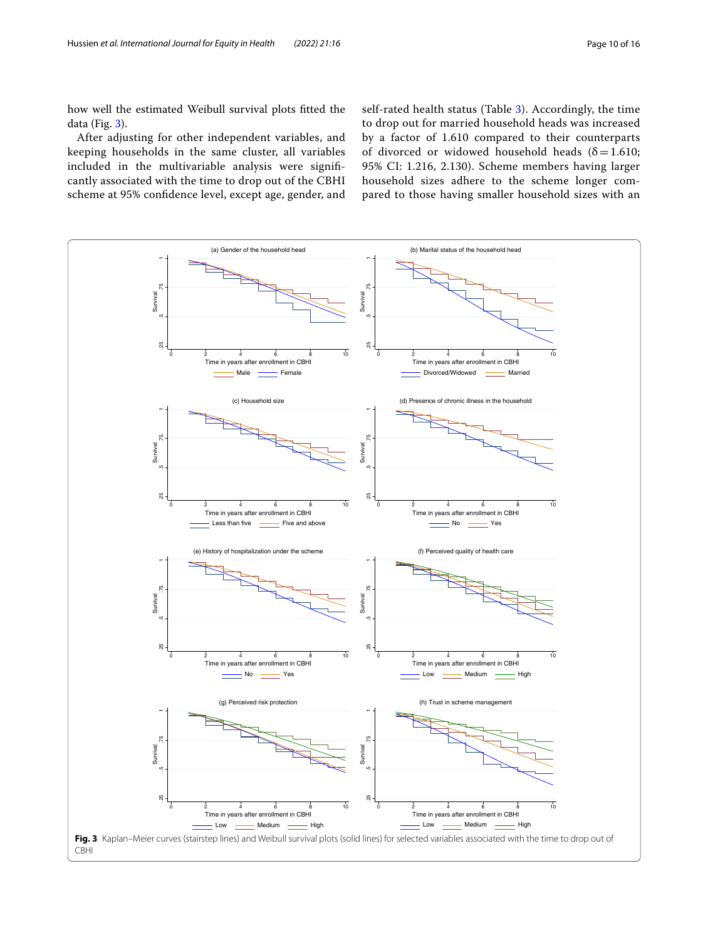how well the estimated Weibull survival plots ftted the data (Fig. [3\)](#page-9-0).

After adjusting for other independent variables, and keeping households in the same cluster, all variables included in the multivariable analysis were signifcantly associated with the time to drop out of the CBHI scheme at 95% confdence level, except age, gender, and self-rated health status (Table [3\)](#page-10-0). Accordingly, the time to drop out for married household heads was increased by a factor of 1.610 compared to their counterparts of divorced or widowed household heads ( $\delta$  = 1.610; 95% CI: 1.216, 2.130). Scheme members having larger household sizes adhere to the scheme longer compared to those having smaller household sizes with an

<span id="page-9-0"></span>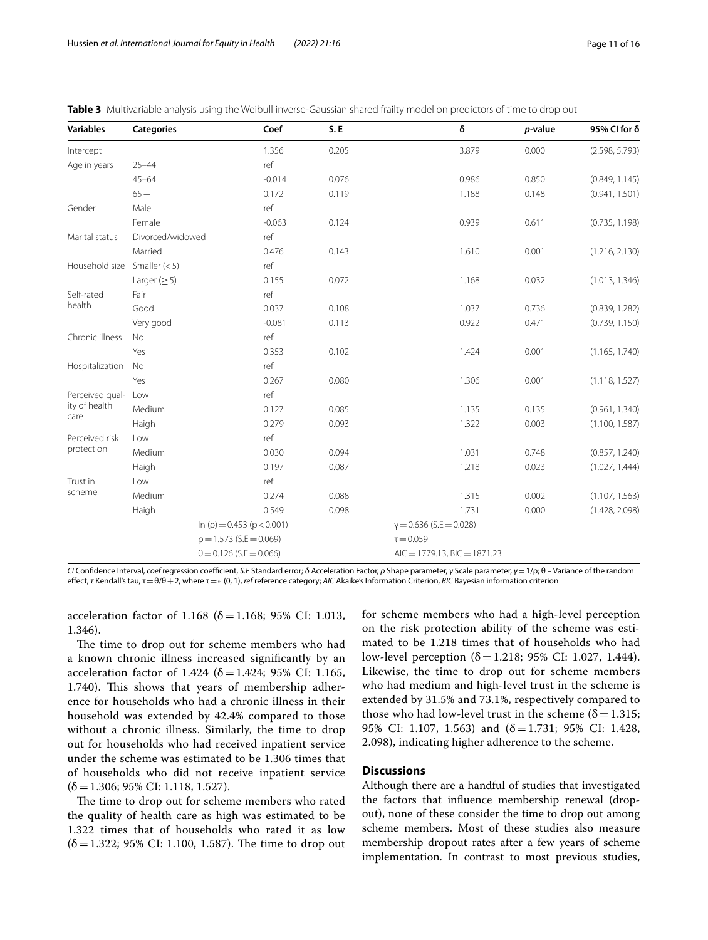| <b>Variables</b> | <b>Categories</b> |                                         | Coef     | S.E   |                                 | δ     | p-value | 95% CI for δ   |
|------------------|-------------------|-----------------------------------------|----------|-------|---------------------------------|-------|---------|----------------|
| Intercept        |                   |                                         | 1.356    | 0.205 |                                 | 3.879 | 0.000   | (2.598, 5.793) |
| Age in years     | $25 - 44$         |                                         | ref      |       |                                 |       |         |                |
|                  | $45 - 64$         |                                         | $-0.014$ | 0.076 |                                 | 0.986 | 0.850   | (0.849, 1.145) |
|                  | $65+$             |                                         | 0.172    | 0.119 |                                 | 1.188 | 0.148   | (0.941, 1.501) |
| Gender           | Male              |                                         | ref      |       |                                 |       |         |                |
|                  | Female            |                                         | $-0.063$ | 0.124 |                                 | 0.939 | 0.611   | (0.735, 1.198) |
| Marital status   | Divorced/widowed  |                                         | ref      |       |                                 |       |         |                |
|                  | Married           |                                         | 0.476    | 0.143 |                                 | 1.610 | 0.001   | (1.216, 2.130) |
| Household size   | Smaller $(< 5)$   |                                         | ref      |       |                                 |       |         |                |
|                  | Larger $(\geq 5)$ |                                         | 0.155    | 0.072 |                                 | 1.168 | 0.032   | (1.013, 1.346) |
| Self-rated       | Fair              |                                         | ref      |       |                                 |       |         |                |
| health           | Good              |                                         | 0.037    | 0.108 |                                 | 1.037 | 0.736   | (0.839, 1.282) |
|                  | Very good         |                                         | $-0.081$ | 0.113 |                                 | 0.922 | 0.471   | (0.739, 1.150) |
| Chronic illness  | <b>No</b>         |                                         | ref      |       |                                 |       |         |                |
|                  | Yes               |                                         | 0.353    | 0.102 |                                 | 1.424 | 0.001   | (1.165, 1.740) |
| Hospitalization  | No                |                                         | ref      |       |                                 |       |         |                |
|                  | Yes               |                                         | 0.267    | 0.080 |                                 | 1.306 | 0.001   | (1.118, 1.527) |
| Perceived qual-  | Low               |                                         | ref      |       |                                 |       |         |                |
| ity of health    | Medium            |                                         | 0.127    | 0.085 |                                 | 1.135 | 0.135   | (0.961, 1.340) |
| care             | Haigh             |                                         | 0.279    | 0.093 |                                 | 1.322 | 0.003   | (1.100, 1.587) |
| Perceived risk   | Low               |                                         | ref      |       |                                 |       |         |                |
| protection       | Medium            |                                         | 0.030    | 0.094 |                                 | 1.031 | 0.748   | (0.857, 1.240) |
|                  | Haigh             |                                         | 0.197    | 0.087 |                                 | 1.218 | 0.023   | (1.027, 1.444) |
| Trust in         | Low               |                                         | ref      |       |                                 |       |         |                |
| scheme           | Medium            |                                         | 0.274    | 0.088 |                                 | 1.315 | 0.002   | (1.107, 1.563) |
|                  | Haigh             |                                         | 0.549    | 0.098 |                                 | 1.731 | 0.000   | (1.428, 2.098) |
|                  |                   | $\ln$ ( $\rho$ ) = 0.453 ( $p$ < 0.001) |          |       | $y = 0.636$ (S.E = 0.028)       |       |         |                |
|                  |                   | $\rho = 1.573$ (S.E = 0.069)            |          |       | $\tau = 0.059$                  |       |         |                |
|                  |                   | $\theta = 0.126$ (S.E = 0.066)          |          |       | $AIC = 1779.13$ , BIC = 1871.23 |       |         |                |

<span id="page-10-0"></span>

|  | <b>Table 3</b> Multivariable analysis using the Weibull inverse-Gaussian shared frailty model on predictors of time to drop out |  |  |  |  |  |  |
|--|---------------------------------------------------------------------------------------------------------------------------------|--|--|--|--|--|--|
|--|---------------------------------------------------------------------------------------------------------------------------------|--|--|--|--|--|--|

*CI* Confidence Interval, *coef* regression coefficient, *S.E* Standard error; *δ* Acceleration Factor, *ρ* Shape parameter, *γ* Scale parameter, *γ* = 1/ρ; θ - Variance of the random efect, *τ* Kendall's tau, τ=θ/θ+2, where τ=ϵ (0, 1), *ref* reference category; *AIC* Akaike's Information Criterion, *BIC* Bayesian information criterion

acceleration factor of 1.168 (δ=1.168; 95% CI: 1.013, 1.346).

The time to drop out for scheme members who had a known chronic illness increased signifcantly by an acceleration factor of 1.424 (δ = 1.424; 95% CI: 1.165, 1.740). This shows that years of membership adherence for households who had a chronic illness in their household was extended by 42.4% compared to those without a chronic illness. Similarly, the time to drop out for households who had received inpatient service under the scheme was estimated to be 1.306 times that of households who did not receive inpatient service  $(\delta=1.306; 95\% \text{ CI: } 1.118, 1.527).$ 

The time to drop out for scheme members who rated the quality of health care as high was estimated to be 1.322 times that of households who rated it as low  $(\delta = 1.322; 95\% \text{ CI: } 1.100, 1.587)$ . The time to drop out for scheme members who had a high-level perception on the risk protection ability of the scheme was estimated to be 1.218 times that of households who had low-level perception  $(δ=1.218; 95% CI: 1.027, 1.444)$ . Likewise, the time to drop out for scheme members who had medium and high-level trust in the scheme is extended by 31.5% and 73.1%, respectively compared to those who had low-level trust in the scheme ( $\delta$  = 1.315; 95% CI: 1.107, 1.563) and  $(\delta = 1.731; 95\% \text{ CI: } 1.428,$ 2.098), indicating higher adherence to the scheme.

# **Discussions**

Although there are a handful of studies that investigated the factors that infuence membership renewal (dropout), none of these consider the time to drop out among scheme members. Most of these studies also measure membership dropout rates after a few years of scheme implementation. In contrast to most previous studies,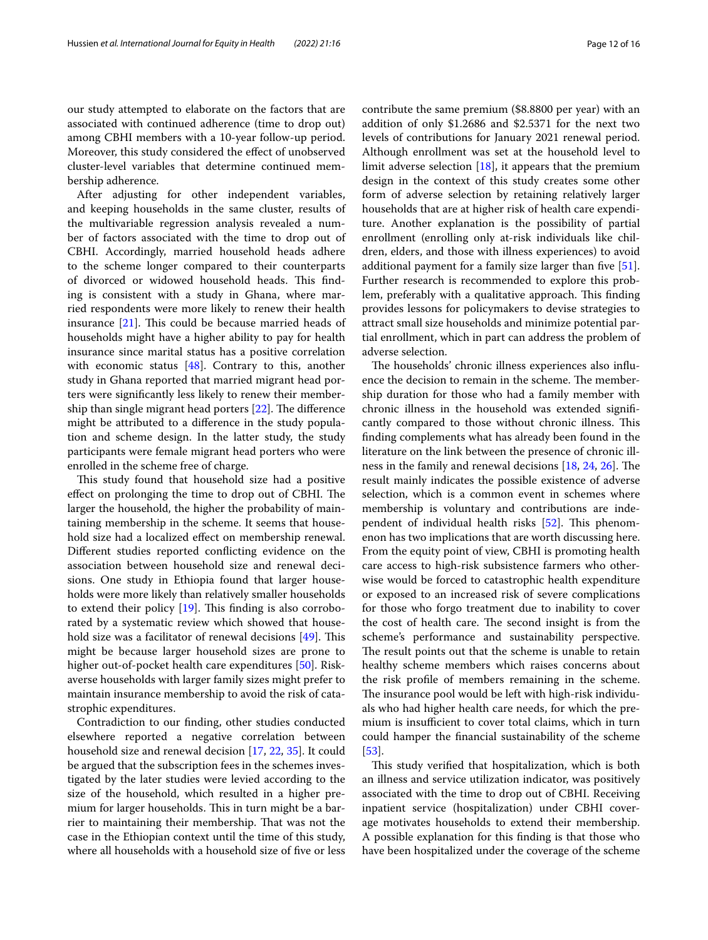our study attempted to elaborate on the factors that are associated with continued adherence (time to drop out) among CBHI members with a 10-year follow-up period. Moreover, this study considered the efect of unobserved cluster-level variables that determine continued membership adherence.

After adjusting for other independent variables, and keeping households in the same cluster, results of the multivariable regression analysis revealed a number of factors associated with the time to drop out of CBHI. Accordingly, married household heads adhere to the scheme longer compared to their counterparts of divorced or widowed household heads. This finding is consistent with a study in Ghana, where married respondents were more likely to renew their health insurance  $[21]$  $[21]$ . This could be because married heads of households might have a higher ability to pay for health insurance since marital status has a positive correlation with economic status [\[48](#page-14-40)]. Contrary to this, another study in Ghana reported that married migrant head porters were signifcantly less likely to renew their membership than single migrant head porters  $[22]$  $[22]$ . The difference might be attributed to a diference in the study population and scheme design. In the latter study, the study participants were female migrant head porters who were enrolled in the scheme free of charge.

This study found that household size had a positive effect on prolonging the time to drop out of CBHI. The larger the household, the higher the probability of maintaining membership in the scheme. It seems that household size had a localized efect on membership renewal. Diferent studies reported conficting evidence on the association between household size and renewal decisions. One study in Ethiopia found that larger households were more likely than relatively smaller households to extend their policy  $[19]$  $[19]$ . This finding is also corroborated by a systematic review which showed that household size was a facilitator of renewal decisions  $[49]$  $[49]$ . This might be because larger household sizes are prone to higher out-of-pocket health care expenditures [[50\]](#page-14-42). Riskaverse households with larger family sizes might prefer to maintain insurance membership to avoid the risk of catastrophic expenditures.

Contradiction to our fnding, other studies conducted elsewhere reported a negative correlation between household size and renewal decision [\[17,](#page-14-9) [22](#page-14-22), [35](#page-14-27)]. It could be argued that the subscription fees in the schemes investigated by the later studies were levied according to the size of the household, which resulted in a higher premium for larger households. This in turn might be a barrier to maintaining their membership. That was not the case in the Ethiopian context until the time of this study, where all households with a household size of fve or less contribute the same premium (\$8.8800 per year) with an addition of only \$1.2686 and \$2.5371 for the next two levels of contributions for January 2021 renewal period. Although enrollment was set at the household level to limit adverse selection [[18](#page-14-10)], it appears that the premium design in the context of this study creates some other form of adverse selection by retaining relatively larger households that are at higher risk of health care expenditure. Another explanation is the possibility of partial enrollment (enrolling only at-risk individuals like children, elders, and those with illness experiences) to avoid additional payment for a family size larger than five [\[51](#page-14-43)]. Further research is recommended to explore this problem, preferably with a qualitative approach. This finding provides lessons for policymakers to devise strategies to attract small size households and minimize potential partial enrollment, which in part can address the problem of adverse selection.

The households' chronic illness experiences also influence the decision to remain in the scheme. The membership duration for those who had a family member with chronic illness in the household was extended signifcantly compared to those without chronic illness. This fnding complements what has already been found in the literature on the link between the presence of chronic illness in the family and renewal decisions  $[18, 24, 26]$  $[18, 24, 26]$  $[18, 24, 26]$  $[18, 24, 26]$  $[18, 24, 26]$  $[18, 24, 26]$  $[18, 24, 26]$ . The result mainly indicates the possible existence of adverse selection, which is a common event in schemes where membership is voluntary and contributions are inde-pendent of individual health risks [[52\]](#page-14-44). This phenomenon has two implications that are worth discussing here. From the equity point of view, CBHI is promoting health care access to high-risk subsistence farmers who otherwise would be forced to catastrophic health expenditure or exposed to an increased risk of severe complications for those who forgo treatment due to inability to cover the cost of health care. The second insight is from the scheme's performance and sustainability perspective. The result points out that the scheme is unable to retain healthy scheme members which raises concerns about the risk profle of members remaining in the scheme. The insurance pool would be left with high-risk individuals who had higher health care needs, for which the premium is insufficient to cover total claims, which in turn could hamper the fnancial sustainability of the scheme [[53\]](#page-14-45).

This study verified that hospitalization, which is both an illness and service utilization indicator, was positively associated with the time to drop out of CBHI. Receiving inpatient service (hospitalization) under CBHI coverage motivates households to extend their membership. A possible explanation for this fnding is that those who have been hospitalized under the coverage of the scheme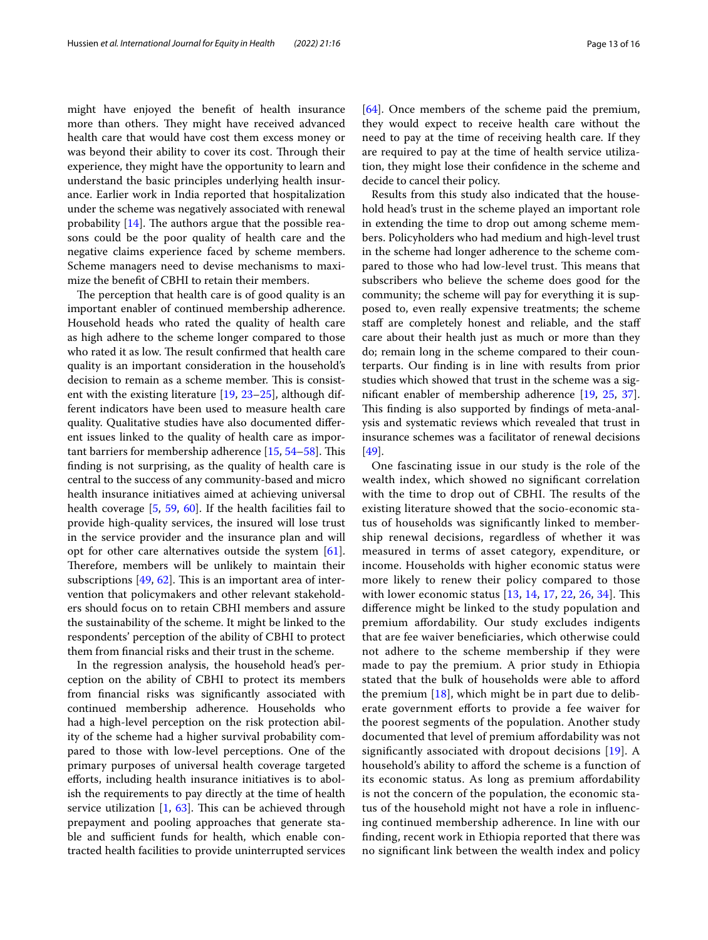might have enjoyed the beneft of health insurance more than others. They might have received advanced health care that would have cost them excess money or was beyond their ability to cover its cost. Through their experience, they might have the opportunity to learn and understand the basic principles underlying health insurance. Earlier work in India reported that hospitalization under the scheme was negatively associated with renewal probability  $[14]$  $[14]$ . The authors argue that the possible reasons could be the poor quality of health care and the negative claims experience faced by scheme members. Scheme managers need to devise mechanisms to maximize the beneft of CBHI to retain their members.

The perception that health care is of good quality is an important enabler of continued membership adherence. Household heads who rated the quality of health care as high adhere to the scheme longer compared to those who rated it as low. The result confirmed that health care quality is an important consideration in the household's decision to remain as a scheme member. This is consistent with the existing literature [\[19,](#page-14-11) [23–](#page-14-28)[25\]](#page-14-23), although different indicators have been used to measure health care quality. Qualitative studies have also documented diferent issues linked to the quality of health care as impor-tant barriers for membership adherence [\[15](#page-14-7), [54](#page-15-0)[–58](#page-15-1)]. This fnding is not surprising, as the quality of health care is central to the success of any community-based and micro health insurance initiatives aimed at achieving universal health coverage [\[5](#page-13-4), [59,](#page-15-2) [60](#page-15-3)]. If the health facilities fail to provide high-quality services, the insured will lose trust in the service provider and the insurance plan and will opt for other care alternatives outside the system [\[61](#page-15-4)]. Therefore, members will be unlikely to maintain their subscriptions  $[49, 62]$  $[49, 62]$  $[49, 62]$  $[49, 62]$ . This is an important area of intervention that policymakers and other relevant stakeholders should focus on to retain CBHI members and assure the sustainability of the scheme. It might be linked to the respondents' perception of the ability of CBHI to protect them from fnancial risks and their trust in the scheme.

In the regression analysis, the household head's perception on the ability of CBHI to protect its members from fnancial risks was signifcantly associated with continued membership adherence. Households who had a high-level perception on the risk protection ability of the scheme had a higher survival probability compared to those with low-level perceptions. One of the primary purposes of universal health coverage targeted eforts, including health insurance initiatives is to abolish the requirements to pay directly at the time of health service utilization  $[1, 63]$  $[1, 63]$  $[1, 63]$ . This can be achieved through prepayment and pooling approaches that generate stable and sufficient funds for health, which enable contracted health facilities to provide uninterrupted services [[64\]](#page-15-7). Once members of the scheme paid the premium, they would expect to receive health care without the need to pay at the time of receiving health care. If they are required to pay at the time of health service utilization, they might lose their confdence in the scheme and decide to cancel their policy.

Results from this study also indicated that the household head's trust in the scheme played an important role in extending the time to drop out among scheme members. Policyholders who had medium and high-level trust in the scheme had longer adherence to the scheme compared to those who had low-level trust. This means that subscribers who believe the scheme does good for the community; the scheme will pay for everything it is supposed to, even really expensive treatments; the scheme staff are completely honest and reliable, and the staff care about their health just as much or more than they do; remain long in the scheme compared to their counterparts. Our fnding is in line with results from prior studies which showed that trust in the scheme was a signifcant enabler of membership adherence [\[19,](#page-14-11) [25](#page-14-23), [37](#page-14-29)]. This finding is also supported by findings of meta-analysis and systematic reviews which revealed that trust in insurance schemes was a facilitator of renewal decisions [[49\]](#page-14-41).

One fascinating issue in our study is the role of the wealth index, which showed no signifcant correlation with the time to drop out of CBHI. The results of the existing literature showed that the socio-economic status of households was signifcantly linked to membership renewal decisions, regardless of whether it was measured in terms of asset category, expenditure, or income. Households with higher economic status were more likely to renew their policy compared to those with lower economic status  $[13, 14, 17, 22, 26, 34]$  $[13, 14, 17, 22, 26, 34]$  $[13, 14, 17, 22, 26, 34]$  $[13, 14, 17, 22, 26, 34]$  $[13, 14, 17, 22, 26, 34]$  $[13, 14, 17, 22, 26, 34]$  $[13, 14, 17, 22, 26, 34]$  $[13, 14, 17, 22, 26, 34]$  $[13, 14, 17, 22, 26, 34]$  $[13, 14, 17, 22, 26, 34]$  $[13, 14, 17, 22, 26, 34]$  $[13, 14, 17, 22, 26, 34]$ . This diference might be linked to the study population and premium afordability. Our study excludes indigents that are fee waiver benefciaries, which otherwise could not adhere to the scheme membership if they were made to pay the premium. A prior study in Ethiopia stated that the bulk of households were able to aford the premium  $[18]$  $[18]$ , which might be in part due to deliberate government efforts to provide a fee waiver for the poorest segments of the population. Another study documented that level of premium afordability was not signifcantly associated with dropout decisions [\[19](#page-14-11)]. A household's ability to afford the scheme is a function of its economic status. As long as premium afordability is not the concern of the population, the economic status of the household might not have a role in infuencing continued membership adherence. In line with our fnding, recent work in Ethiopia reported that there was no signifcant link between the wealth index and policy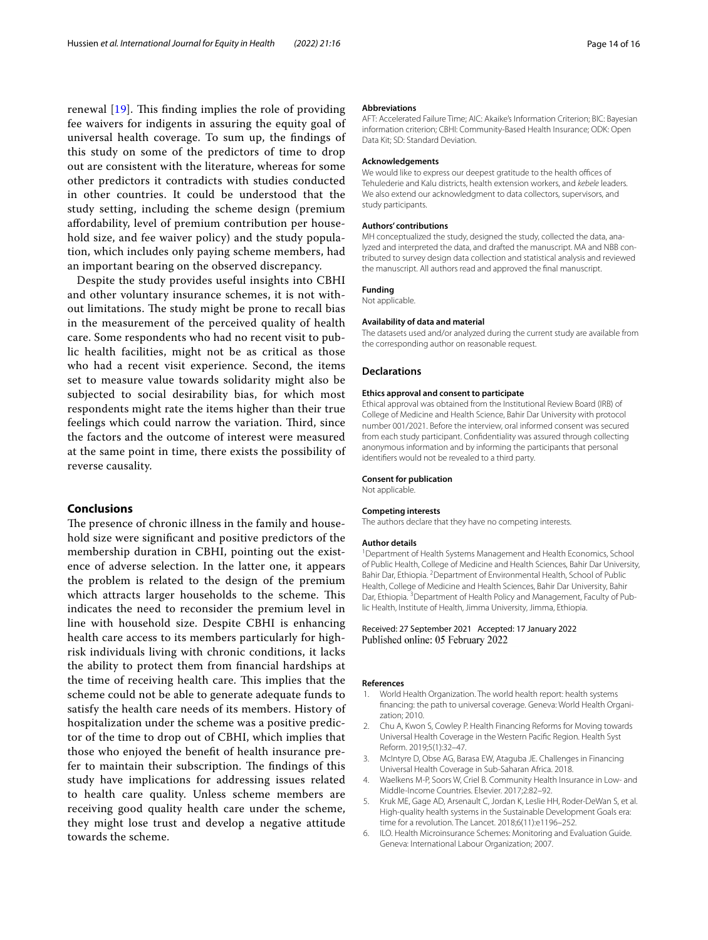renewal  $[19]$  $[19]$ . This finding implies the role of providing fee waivers for indigents in assuring the equity goal of universal health coverage. To sum up, the fndings of this study on some of the predictors of time to drop out are consistent with the literature, whereas for some other predictors it contradicts with studies conducted in other countries. It could be understood that the study setting, including the scheme design (premium afordability, level of premium contribution per household size, and fee waiver policy) and the study population, which includes only paying scheme members, had an important bearing on the observed discrepancy.

Despite the study provides useful insights into CBHI and other voluntary insurance schemes, it is not without limitations. The study might be prone to recall bias in the measurement of the perceived quality of health care. Some respondents who had no recent visit to public health facilities, might not be as critical as those who had a recent visit experience. Second, the items set to measure value towards solidarity might also be subjected to social desirability bias, for which most respondents might rate the items higher than their true feelings which could narrow the variation. Third, since the factors and the outcome of interest were measured at the same point in time, there exists the possibility of reverse causality.

# **Conclusions**

The presence of chronic illness in the family and household size were signifcant and positive predictors of the membership duration in CBHI, pointing out the existence of adverse selection. In the latter one, it appears the problem is related to the design of the premium which attracts larger households to the scheme. This indicates the need to reconsider the premium level in line with household size. Despite CBHI is enhancing health care access to its members particularly for highrisk individuals living with chronic conditions, it lacks the ability to protect them from fnancial hardships at the time of receiving health care. This implies that the scheme could not be able to generate adequate funds to satisfy the health care needs of its members. History of hospitalization under the scheme was a positive predictor of the time to drop out of CBHI, which implies that those who enjoyed the beneft of health insurance prefer to maintain their subscription. The findings of this study have implications for addressing issues related to health care quality. Unless scheme members are receiving good quality health care under the scheme, they might lose trust and develop a negative attitude towards the scheme.

#### **Abbreviations**

AFT: Accelerated Failure Time; AIC: Akaike's Information Criterion; BIC: Bayesian information criterion; CBHI: Community-Based Health Insurance; ODK: Open Data Kit; SD: Standard Deviation.

#### **Acknowledgements**

We would like to express our deepest gratitude to the health offices of Tehulederie and Kalu districts, health extension workers, and *kebele* leaders. We also extend our acknowledgment to data collectors, supervisors, and study participants.

#### **Authors' contributions**

MH conceptualized the study, designed the study, collected the data, analyzed and interpreted the data, and drafted the manuscript. MA and NBB contributed to survey design data collection and statistical analysis and reviewed the manuscript. All authors read and approved the fnal manuscript.

## **Funding**

Not applicable.

#### **Availability of data and material**

The datasets used and/or analyzed during the current study are available from the corresponding author on reasonable request.

#### **Declarations**

#### **Ethics approval and consent to participate**

Ethical approval was obtained from the Institutional Review Board (IRB) of College of Medicine and Health Science, Bahir Dar University with protocol number 001/2021. Before the interview, oral informed consent was secured from each study participant. Confdentiality was assured through collecting anonymous information and by informing the participants that personal identifers would not be revealed to a third party.

#### **Consent for publication**

Not applicable.

#### **Competing interests**

The authors declare that they have no competing interests.

#### **Author details**

<sup>1</sup> Department of Health Systems Management and Health Economics, School of Public Health, College of Medicine and Health Sciences, Bahir Dar University, Bahir Dar, Ethiopia. <sup>2</sup> Department of Environmental Health, School of Public Health, College of Medicine and Health Sciences, Bahir Dar University, Bahir Dar, Ethiopia. <sup>3</sup> Department of Health Policy and Management, Faculty of Public Health, Institute of Health, Jimma University, Jimma, Ethiopia.

#### Received: 27 September 2021 Accepted: 17 January 2022 Published online: 05 February 2022

#### **References**

- <span id="page-13-0"></span>1. World Health Organization. The world health report: health systems fnancing: the path to universal coverage. Geneva: World Health Organization; 2010.
- <span id="page-13-1"></span>2. Chu A, Kwon S, Cowley P. Health Financing Reforms for Moving towards Universal Health Coverage in the Western Pacifc Region. Health Syst Reform. 2019;5(1):32–47.
- <span id="page-13-2"></span>3. McIntyre D, Obse AG, Barasa EW, Ataguba JE. Challenges in Financing Universal Health Coverage in Sub-Saharan Africa. 2018.
- <span id="page-13-3"></span>4. Waelkens M-P, Soors W, Criel B. Community Health Insurance in Low- and Middle-Income Countries. Elsevier. 2017;2:82–92.
- <span id="page-13-4"></span>5. Kruk ME, Gage AD, Arsenault C, Jordan K, Leslie HH, Roder-DeWan S, et al. High-quality health systems in the Sustainable Development Goals era: time for a revolution. The Lancet. 2018;6(11):e1196–252.
- <span id="page-13-5"></span>6. ILO. Health Microinsurance Schemes: Monitoring and Evaluation Guide. Geneva: International Labour Organization; 2007.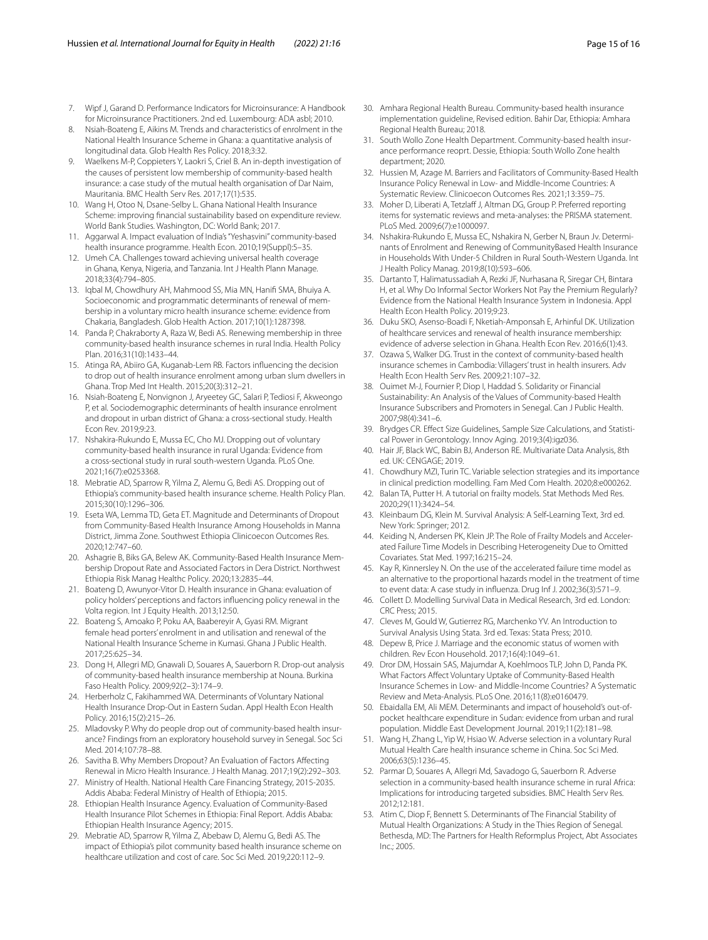- <span id="page-14-1"></span>7. Wipf J, Garand D. Performance Indicators for Microinsurance: A Handbook for Microinsurance Practitioners. 2nd ed. Luxembourg: ADA asbl; 2010.
- 8. Nsiah-Boateng E, Aikins M. Trends and characteristics of enrolment in the National Health Insurance Scheme in Ghana: a quantitative analysis of longitudinal data. Glob Health Res Policy. 2018;3:32.
- <span id="page-14-0"></span>9. Waelkens M-P, Coppieters Y, Laokri S, Criel B. An in-depth investigation of the causes of persistent low membership of community-based health insurance: a case study of the mutual health organisation of Dar Naim, Mauritania. BMC Health Serv Res. 2017;17(1):535.
- <span id="page-14-2"></span>10. Wang H, Otoo N, Dsane-Selby L. Ghana National Health Insurance Scheme: improving fnancial sustainability based on expenditure review. World Bank Studies. Washington, DC: World Bank; 2017.
- <span id="page-14-3"></span>11. Aggarwal A. Impact evaluation of India's "Yeshasvini" community-based health insurance programme. Health Econ. 2010;19(Suppl):5–35.
- <span id="page-14-4"></span>12. Umeh CA. Challenges toward achieving universal health coverage in Ghana, Kenya, Nigeria, and Tanzania. Int J Health Plann Manage. 2018;33(4):794–805.
- <span id="page-14-5"></span>13. Iqbal M, Chowdhury AH, Mahmood SS, Mia MN, Hanif SMA, Bhuiya A. Socioeconomic and programmatic determinants of renewal of membership in a voluntary micro health insurance scheme: evidence from Chakaria, Bangladesh. Glob Health Action. 2017;10(1):1287398.
- <span id="page-14-6"></span>14. Panda P, Chakraborty A, Raza W, Bedi AS. Renewing membership in three community-based health insurance schemes in rural India. Health Policy Plan. 2016;31(10):1433–44.
- <span id="page-14-7"></span>15. Atinga RA, Abiiro GA, Kuganab-Lem RB. Factors infuencing the decision to drop out of health insurance enrolment among urban slum dwellers in Ghana. Trop Med Int Health. 2015;20(3):312–21.
- <span id="page-14-8"></span>16. Nsiah-Boateng E, Nonvignon J, Aryeetey GC, Salari P, Tediosi F, Akweongo P, et al. Sociodemographic determinants of health insurance enrolment and dropout in urban district of Ghana: a cross-sectional study. Health Econ Rev. 2019;9:23.
- <span id="page-14-9"></span>17. Nshakira-Rukundo E, Mussa EC, Cho MJ. Dropping out of voluntary community-based health insurance in rural Uganda: Evidence from a cross-sectional study in rural south-western Uganda. PLoS One. 2021;16(7):e0253368.
- <span id="page-14-10"></span>18. Mebratie AD, Sparrow R, Yilma Z, Alemu G, Bedi AS. Dropping out of Ethiopia's community-based health insurance scheme. Health Policy Plan. 2015;30(10):1296–306.
- <span id="page-14-11"></span>19. Eseta WA, Lemma TD, Geta ET. Magnitude and Determinants of Dropout from Community-Based Health Insurance Among Households in Manna District, Jimma Zone. Southwest Ethiopia Clinicoecon Outcomes Res. 2020;12:747–60.
- <span id="page-14-12"></span>20. Ashagrie B, Biks GA, Belew AK. Community-Based Health Insurance Membership Dropout Rate and Associated Factors in Dera District. Northwest Ethiopia Risk Manag Healthc Policy. 2020;13:2835–44.
- <span id="page-14-13"></span>21. Boateng D, Awunyor-Vitor D. Health insurance in Ghana: evaluation of policy holders' perceptions and factors infuencing policy renewal in the Volta region. Int J Equity Health. 2013;12:50.
- <span id="page-14-22"></span>22. Boateng S, Amoako P, Poku AA, Baabereyir A, Gyasi RM. Migrant female head porters' enrolment in and utilisation and renewal of the National Health Insurance Scheme in Kumasi. Ghana J Public Health. 2017;25:625–34.
- <span id="page-14-28"></span>23. Dong H, Allegri MD, Gnawali D, Souares A, Sauerborn R. Drop-out analysis of community-based health insurance membership at Nouna. Burkina Faso Health Policy. 2009;92(2–3):174–9.
- <span id="page-14-26"></span>24. Herberholz C, Fakihammed WA. Determinants of Voluntary National Health Insurance Drop-Out in Eastern Sudan. Appl Health Econ Health Policy. 2016;15(2):215–26.
- <span id="page-14-23"></span>25. Mladovsky P. Why do people drop out of community-based health insurance? Findings from an exploratory household survey in Senegal. Soc Sci Med. 2014;107:78–88.
- <span id="page-14-14"></span>26. Savitha B. Why Members Dropout? An Evaluation of Factors Afecting Renewal in Micro Health Insurance. J Health Manag. 2017;19(2):292–303.
- <span id="page-14-15"></span>27. Ministry of Health. National Health Care Financing Strategy, 2015-2035. Addis Ababa: Federal Ministry of Health of Ethiopia; 2015.
- <span id="page-14-16"></span>28. Ethiopian Health Insurance Agency. Evaluation of Community-Based Health Insurance Pilot Schemes in Ethiopia: Final Report. Addis Ababa: Ethiopian Health Insurance Agency; 2015.
- <span id="page-14-17"></span>29. Mebratie AD, Sparrow R, Yilma Z, Abebaw D, Alemu G, Bedi AS. The impact of Ethiopia's pilot community based health insurance scheme on healthcare utilization and cost of care. Soc Sci Med. 2019;220:112–9.
- <span id="page-14-18"></span>30. Amhara Regional Health Bureau. Community-based health insurance implementation guideline, Revised edition. Bahir Dar, Ethiopia: Amhara Regional Health Bureau; 2018.
- <span id="page-14-19"></span>31. South Wollo Zone Health Department. Community-based health insurance performance reoprt. Dessie, Ethiopia: South Wollo Zone health department; 2020.
- <span id="page-14-20"></span>32. Hussien M, Azage M. Barriers and Facilitators of Community-Based Health Insurance Policy Renewal in Low- and Middle-Income Countries: A Systematic Review. Clinicoecon Outcomes Res. 2021;13:359–75.
- <span id="page-14-21"></span>33. Moher D, Liberati A, Tetzlaff J, Altman DG, Group P. Preferred reporting items for systematic reviews and meta-analyses: the PRISMA statement. PLoS Med. 2009;6(7):e1000097.
- <span id="page-14-24"></span>34. Nshakira-Rukundo E, Mussa EC, Nshakira N, Gerber N, Braun Jv. Determinants of Enrolment and Renewing of CommunityBased Health Insurance in Households With Under-5 Children in Rural South-Western Uganda. Int J Health Policy Manag. 2019;8(10):593–606.
- <span id="page-14-27"></span>35. Dartanto T, Halimatussadiah A, Rezki JF, Nurhasana R, Siregar CH, Bintara H, et al. Why Do Informal Sector Workers Not Pay the Premium Regularly? Evidence from the National Health Insurance System in Indonesia. Appl Health Econ Health Policy. 2019;9:23.
- <span id="page-14-25"></span>36. Duku SKO, Asenso-Boadi F, Nketiah-Amponsah E, Arhinful DK. Utilization of healthcare services and renewal of health insurance membership: evidence of adverse selection in Ghana. Health Econ Rev. 2016;6(1):43.
- <span id="page-14-29"></span>37. Ozawa S, Walker DG. Trust in the context of community-based health insurance schemes in Cambodia: Villagers' trust in health insurers. Adv Health Econ Health Serv Res. 2009;21:107–32.
- <span id="page-14-30"></span>38. Ouimet M-J, Fournier P, Diop I, Haddad S. Solidarity or Financial Sustainability: An Analysis of the Values of Community-based Health Insurance Subscribers and Promoters in Senegal. Can J Public Health. 2007;98(4):341–6.
- <span id="page-14-31"></span>39. Brydges CR. Efect Size Guidelines, Sample Size Calculations, and Statistical Power in Gerontology. Innov Aging. 2019;3(4):igz036.
- <span id="page-14-32"></span>40. Hair JF, Black WC, Babin BJ, Anderson RE. Multivariate Data Analysis, 8th ed. UK: CENGAGE; 2019.
- <span id="page-14-33"></span>41. Chowdhury MZI, Turin TC. Variable selection strategies and its importance in clinical prediction modelling. Fam Med Com Health. 2020;8:e000262.
- <span id="page-14-34"></span>42. Balan TA, Putter H. A tutorial on frailty models. Stat Methods Med Res. 2020;29(11):3424–54.
- <span id="page-14-35"></span>43. Kleinbaum DG, Klein M. Survival Analysis: A Self‐Learning Text, 3rd ed. New York: Springer; 2012.
- <span id="page-14-36"></span>44. Keiding N, Andersen PK, Klein JP. The Role of Frailty Models and Accelerated Failure Time Models in Describing Heterogeneity Due to Omitted Covariates. Stat Med. 1997;16:215–24.
- <span id="page-14-37"></span>45. Kay R, Kinnersley N. On the use of the accelerated failure time model as an alternative to the proportional hazards model in the treatment of time to event data: A case study in infuenza. Drug Inf J. 2002;36(3):571–9.
- <span id="page-14-38"></span>46. Collett D. Modelling Survival Data in Medical Research, 3rd ed. London: CRC Press; 2015.
- <span id="page-14-39"></span>47. Cleves M, Gould W, Gutierrez RG, Marchenko YV. An Introduction to Survival Analysis Using Stata. 3rd ed. Texas: Stata Press; 2010.
- <span id="page-14-40"></span>48. Depew B, Price J. Marriage and the economic status of women with children. Rev Econ Household. 2017;16(4):1049–61.
- <span id="page-14-41"></span>49. Dror DM, Hossain SAS, Majumdar A, Koehlmoos TLP, John D, Panda PK. What Factors Afect Voluntary Uptake of Community-Based Health Insurance Schemes in Low- and Middle-Income Countries? A Systematic Review and Meta-Analysis. PLoS One. 2016;11(8):e0160479.
- <span id="page-14-42"></span>50. Ebaidalla EM, Ali MEM. Determinants and impact of household's out-ofpocket healthcare expenditure in Sudan: evidence from urban and rural population. Middle East Development Journal. 2019;11(2):181–98.
- <span id="page-14-43"></span>51. Wang H, Zhang L, Yip W, Hsiao W. Adverse selection in a voluntary Rural Mutual Health Care health insurance scheme in China. Soc Sci Med. 2006;63(5):1236–45.
- <span id="page-14-44"></span>52. Parmar D, Souares A, Allegri Md, Savadogo G, Sauerborn R. Adverse selection in a community-based health insurance scheme in rural Africa: Implications for introducing targeted subsidies. BMC Health Serv Res. 2012;12:181.
- <span id="page-14-45"></span>53. Atim C, Diop F, Bennett S. Determinants of The Financial Stability of Mutual Health Organizations: A Study in the Thies Region of Senegal. Bethesda, MD: The Partners for Health Reformplus Project, Abt Associates Inc.; 2005.